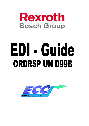

# EDI - Guide ORDRSP UN D99B

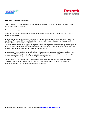



#### **Who should read this document?**

This document is for EDI-administrators who will implement this EDI-guide to be able to receive EDIFACT orders from Bosch Rexroth AG.

#### **Explanation of usage:**

First of all, the usage of each segment has to be considered, so if a segment is mandatory (M), it has to appear in the data file.

It might happen, that a segment itself is optional (O), but the elements wihtin the segment are declared as mandatory. This means, it is not required that the segment is included, but as soon as the segment is in data file, the mandatory fields must be filled.

The same procedure has to be applied to segment groups and segemnts: A segment group can be optional, while the contained segments are mandatory. In this case all mandatory segments of a segment group has to apear in the data file, if you decide to use this segment group.

In case that in a segment describtion is listed more than one segement group, you have to read them from bottom to top. The first segment group is that group which contains the segment. The next segment group above is the segment group which contains the previous segment group.

The request of certain segment groups, segments or fields may differ from the describtion of ORDERS D99B like it is distributed from the UNECE. We have changed the request of some elements from optional to mandatory as they are important for our processes.

If you have questions to this guide, send an e-mail to: **edi.admin@boschrexroth.de**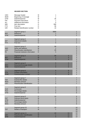#### **HEADER SECTION**

| <b>UNH</b><br><b>BGM</b><br><b>DTM</b><br>PAI<br>ALI<br><b>IMD</b><br><b>FTX</b><br><b>GIR</b> | Message header<br>Beginning of message<br>Date/time/period<br>Payment instructions<br>Additional information<br>Item description<br>Free text<br>Related identification number | M<br>M<br>M<br>O<br>O<br>O<br>O<br>O | 35<br>1<br>5<br>999<br>99<br>10 |                           |                                       |
|------------------------------------------------------------------------------------------------|--------------------------------------------------------------------------------------------------------------------------------------------------------------------------------|--------------------------------------|---------------------------------|---------------------------|---------------------------------------|
| <b>RFF</b><br><b>DTM</b>                                                                       | Segment group 1<br>Reference<br>Date/time/period                                                                                                                               | $\circ$<br>M<br>$\circ$              | 9999<br>1<br>5                  |                           | 1                                     |
| AJT<br><b>FTX</b>                                                                              | Segment group 2<br>Adjustment details<br>Free text                                                                                                                             | $\circ$<br>M<br>$\circ$              | 1<br>5                          |                           | 2<br>$\overline{2}$<br>$\overline{2}$ |
| <b>NAD</b><br>LOC<br><b>FII</b>                                                                | Segment group 3<br>Name and address<br>Place/location identifaction<br>Financial institution information                                                                       | M<br>M<br>O<br>$\circ$               | 99<br>1<br>25<br>5              |                           | 3<br>3<br>3<br>3<br>3                 |
| <b>RFF</b><br><b>DTM</b>                                                                       | Segment group 4<br>Reference<br>Date/time/period                                                                                                                               | $\circ$<br>M<br>$\circ$              | 99<br>1<br>5                    | $\overline{4}$<br>4<br>4  | 3<br>3<br>3<br>3                      |
| <b>DOC</b><br><b>DTM</b>                                                                       | Segment group 5<br>Document/message details<br>Date/time/period                                                                                                                | $\circ$<br>M<br>$\circ$              | 5<br>1<br>5                     | 5<br>5<br>5               | 3<br>3<br>3<br>3                      |
| <b>CTA</b><br><b>COM</b>                                                                       | Segment group 6<br><b>Contact information</b><br><b>Communication contact</b>                                                                                                  | $\circ$<br>M<br>O                    | 5<br>1<br>5                     | 6<br>$6\phantom{1}6$<br>6 | 3<br>3<br>3                           |
| <b>TAX</b><br><b>MOA</b><br><b>LOC</b>                                                         | Segment group 7<br>Duty/tax/fee details<br>Monetary amount<br>Place/location identification                                                                                    | O<br>M<br>O<br>$\circ$               | 5<br>1<br>5                     |                           | 7<br>7<br>$\prime$<br>7               |
| <b>CUX</b><br><b>PCD</b><br><b>DTM</b>                                                         | Segment group 8<br>Currencies<br>Percentage details<br>Date/time/period                                                                                                        | $\circ$<br>M<br>O<br>$\circ$         | 5<br>1<br>5<br>5                |                           | 8<br>8<br>8<br>8                      |
| <b>PAT</b><br><b>DTM</b><br><b>PCD</b><br><b>MOA</b>                                           | Segment group 9<br>Payment terms basis<br>Date/time/period<br>Percentage details<br>Monetary amount                                                                            | $\circ$<br>M<br>O<br>O<br>$\circ$    | 10<br>5<br>1<br>1               |                           | 9<br>9<br>9<br>9<br>9                 |
| <b>TDT</b>                                                                                     | Segment group 10<br>Details of transport                                                                                                                                       | O<br>M                               | 10<br>1                         |                           | 10<br>10<br>10                        |
| <b>LOC</b><br><b>DTM</b>                                                                       | Segment group 11<br>Place/location identification<br>Date/time/period                                                                                                          | O<br>M<br>$\circ$                    | 10<br>5                         | 11<br>11<br>11            | 10<br>10<br>10                        |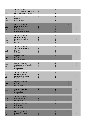| <b>TOD</b><br><b>LOC</b>                             | Segment group 12<br>Terms of delivery or transport<br>Place/location identification                              | $\circ$<br>M<br>$\circ$                  | 5<br>1<br>$\overline{2}$       |                            | 12<br>12<br>12             |
|------------------------------------------------------|------------------------------------------------------------------------------------------------------------------|------------------------------------------|--------------------------------|----------------------------|----------------------------|
| <b>PAC</b><br><b>MEA</b>                             | Segment group 13<br>Package<br>Measurements                                                                      | $\circ$<br>M<br>$\circ$                  | 99<br>1<br>5                   |                            | 13<br>13<br>13<br>13       |
| PCI<br><b>RFF</b><br><b>DTM</b><br><b>GIN</b>        | Segment group 14<br>Package identification<br>Reference<br>Date/time/period<br><b>Goods identity number</b>      | $\circ$<br>M<br>Ő<br>O<br>$\circ$        | 99<br>5<br>99                  | 14<br>14<br>14<br>14<br>14 | 13<br>13<br>13<br>13<br>13 |
| <b>EQD</b><br><b>HAN</b><br><b>MEA</b><br><b>FTX</b> | Segment group 15<br><b>Equipment details</b><br><b>Handling instructions</b><br><b>Measurements</b><br>Free text | $\circ$<br>M<br>O<br>O<br>$\overline{O}$ | 10<br>1<br>5<br>5<br>5         |                            | 15<br>15<br>15<br>15<br>15 |
| <b>SCC</b><br><b>FTX</b><br><b>RFF</b>               | Segment group 16<br><b>Scheduling conditions</b><br>Free text<br>Reference                                       | $\circ$<br>M<br>O<br>$\circ$             | 10<br>1<br>5<br>5              |                            | 16<br>16<br>16<br>16<br>16 |
| QTY<br><b>DTM</b>                                    | Segment group 17<br>Quantity<br>Date/time/period                                                                 | $\circ$<br>M<br>$\circ$                  | 10<br>1<br>5                   | 17<br>17<br>17             | 16<br>16<br>16             |
| <b>APR</b><br><b>DTM</b><br><b>RNG</b>               | Segment group 18<br>Additional price information<br>Date/time/period<br>Range details                            | O<br>M<br>O<br>$\circ$                   | 25<br>1<br>5<br>$\overline{1}$ |                            | 18<br>18<br>18<br>18       |
| <b>ALC</b><br><b>ALI</b><br><b>DTM</b>               | Segment group 19<br>Allowance or charge<br>Additional information<br>Date/time/period                            | $\circ$<br>M<br>O<br>O                   | 99<br>1<br>5<br>5              |                            | 19<br>19<br>19<br>19<br>19 |
| QTY<br><b>RNG</b>                                    | Segment group 20<br>Quantity<br>Range details                                                                    | $\circ$<br>M<br>O                        |                                | 20<br>20<br>20             | 19<br>19<br>19<br>19       |
| <b>PCD</b><br><b>RNG</b>                             | Segment group 21<br>Percentage details<br>Range details                                                          | O<br>M<br>$\circ$                        |                                | 21<br>21<br>21             | 19<br>19<br>19<br>19       |
| <b>MOA</b><br><b>RNG</b>                             | Segment group 22<br>Monetary amount<br>Range details                                                             | O<br>M<br>$\circ$                        | 2                              | 22<br>22<br>22             | 19<br>19<br>19<br>19       |
| <b>RTE</b><br><b>RNG</b>                             | Segment group 23<br><b>Rate details</b><br>Range details                                                         | $\circ$<br>M<br>$\circ$                  |                                | 23<br>23<br>23             | 19<br>19<br>19             |
| <b>TAX</b><br><b>MOA</b>                             | Segment group 24<br>Duty/tax/fee details<br>Monetary amount                                                      | $\circ$<br>M<br>$\circ$                  | 5                              | 24<br>24<br>24             | 19<br>19<br>19<br>19       |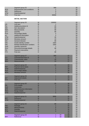|            | Segment group 25            |   | 999   | 25 |
|------------|-----------------------------|---|-------|----|
| <b>RCS</b> | Requirements and conditions | M |       | 25 |
| <b>RFF</b> | Reference                   |   |       | 25 |
| <b>DTM</b> | Date/time/period            |   |       | 25 |
| <b>FTX</b> | Free text                   |   | 99999 | 25 |

### **DETAIL SECTION**

| <b>LIN</b><br><b>PIA</b><br><b>IMD</b><br><b>MEA</b><br>QTY<br><b>PCD</b><br><b>ALI</b><br><b>DTM</b><br><b>MOA</b><br>GIS<br><b>GIN</b><br><b>GIR</b><br>QVR<br><b>DOC</b><br>PAI<br><b>FTX</b> | Segment group 26<br>Line item<br>Additional product id<br>Item description<br><b>Measurements</b><br>Quantity<br>Percentage details<br>Additional information<br>Date/time/period<br>Monetary amount<br>General indicator<br>Goods identity number<br>Related identification numbers<br><b>Quantity variances</b><br>Document/message details<br>Payment instructions<br>Free text | M<br>M<br>O<br>O<br>O<br>O<br>$\circ$<br>O<br>O<br>O<br>O<br>O<br>$\circ$<br>$\circ$<br>$\circ$<br>$\circ$<br>$\overline{O}$ | 200000<br>1<br>25<br>99<br>99<br>99<br>5<br>5<br>35<br>10<br>99<br>1000<br>1000<br>1<br>99<br>1<br>99 |    |                                        | 26<br>26<br>26<br>26<br>26<br>26<br>26<br>26<br>26<br>26<br>26<br>26<br>26<br>26<br>26<br>26<br>26<br>26 |
|--------------------------------------------------------------------------------------------------------------------------------------------------------------------------------------------------|------------------------------------------------------------------------------------------------------------------------------------------------------------------------------------------------------------------------------------------------------------------------------------------------------------------------------------------------------------------------------------|------------------------------------------------------------------------------------------------------------------------------|-------------------------------------------------------------------------------------------------------|----|----------------------------------------|----------------------------------------------------------------------------------------------------------|
| CCI<br>CAV<br><b>MEA</b>                                                                                                                                                                         | Segment group 27<br>Characteristic/class id<br>Characteristic value<br><b>Measurements</b>                                                                                                                                                                                                                                                                                         | $\circ$<br>M<br>O<br>$\circ$                                                                                                 | 999<br>1<br>10<br>10                                                                                  |    | 27<br>27<br>27<br>27                   | 26<br>26<br>26<br>26                                                                                     |
| <b>PAT</b><br><b>DTM</b><br><b>PCD</b><br><b>MOA</b>                                                                                                                                             | Segment group 28<br>Payment terms basis<br>Date/time/period<br>Percentage details<br>Monetary amount                                                                                                                                                                                                                                                                               | $\circ$<br>M<br>O<br>O<br>O                                                                                                  | 10<br>1<br>5                                                                                          |    | 28<br>28<br>28<br>28<br>28             | 26<br>26<br>26<br>26<br>26<br>26<br>26                                                                   |
| <b>AJT</b><br><b>FTX</b>                                                                                                                                                                         | Segment group 29<br>Adjustment details<br>Free text                                                                                                                                                                                                                                                                                                                                | $\circ$<br>M<br>$\overline{O}$                                                                                               | 1<br>5                                                                                                |    | 29<br>29<br>29                         | 26<br>26<br>26                                                                                           |
| PRI<br><b>CUX</b><br><b>APR</b><br><b>RNG</b><br><b>DTM</b>                                                                                                                                      | Segment group 30<br><b>Price details</b><br><b>Currencies</b><br>Additional price information<br>Range details<br>Date/time/period                                                                                                                                                                                                                                                 | $\circ$<br>M<br>$\overline{O}$<br>$\circ$<br>O<br>$\circ$                                                                    | 25<br>1<br>1<br>5                                                                                     |    | 30<br>30<br>30<br>30<br>30<br>30       | 26<br>26<br>26<br>26<br>26<br>26<br>26<br>26                                                             |
| <b>RFF</b><br><b>DTM</b>                                                                                                                                                                         | Segment group 31<br>Reference<br>Date/time/period                                                                                                                                                                                                                                                                                                                                  | $\mathsf{M}% _{T}=\mathsf{M}_{T}\!\left( a,b\right) ,\ \mathsf{M}_{T}=\mathsf{M}_{T}\!\left( a,b\right) ,$<br>M<br>$\circ$   | 9999<br>1<br>5                                                                                        |    | 31<br>31<br>31                         | 26<br>26<br>26<br>26                                                                                     |
| <b>PAC</b><br><b>MEA</b><br>QTY<br><b>DTM</b>                                                                                                                                                    | Segment group 32<br>Package<br><b>Measurements</b><br>Quantity<br>Date/time/period<br>Segment group 33                                                                                                                                                                                                                                                                             | $\circ$<br>M<br>O<br>O<br>O<br>$\circ$                                                                                       | 99<br>1<br>5<br>5<br>5<br>1                                                                           | 33 | 32<br>32<br>32<br>32<br>32<br>32<br>32 | 26<br>26<br>26<br>26<br>26<br>26<br>26                                                                   |
| <b>RFF</b>                                                                                                                                                                                       | Reference                                                                                                                                                                                                                                                                                                                                                                          | ${\sf M}$                                                                                                                    | 1                                                                                                     | 33 | 32                                     | 26                                                                                                       |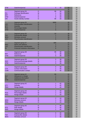| <b>DTM</b>                                    | Date/time/period                                                                                           | $\circ$                                                                                               | 5                        | 33                         | 32                               | 26                               |
|-----------------------------------------------|------------------------------------------------------------------------------------------------------------|-------------------------------------------------------------------------------------------------------|--------------------------|----------------------------|----------------------------------|----------------------------------|
| PCI<br><b>RFF</b><br><b>DTM</b><br><b>GIN</b> | Segment group 34<br>Package identification<br>Reference<br>Date/time/period<br>Goods identity number       | O<br>M<br>$\circ$<br>$\circ$<br>$\circ$                                                               | 99<br>1<br>1<br>5<br>99  | 34<br>34<br>34<br>34<br>34 | 32<br>32<br>32<br>32<br>32<br>32 | 26<br>26<br>26<br>26<br>26<br>26 |
| <b>LOC</b><br>QTY<br><b>PCD</b><br><b>DTM</b> | Segment group 35<br>Place/location identification<br>Quantity<br>Percentage details<br>Date/time/period    | $\circ$<br>M<br>$\circ$<br>$\circ$<br>$\overline{O}$                                                  | 9999<br>5                |                            | 35<br>35<br>35<br>35<br>35       | 26<br>26<br>26<br>26<br>26<br>26 |
| <b>TAX</b><br><b>MOA</b><br><b>LOC</b>        | Segment group 36<br>Duty/tax/fee details<br>Monetary amount<br>Place/location identification               | $\circ$<br>M<br>$\circ$<br>$\circ$                                                                    | 10<br>5                  |                            | 36<br>36<br>36<br>36             | 26<br>26<br>26<br>26<br>26<br>26 |
| <b>NAD</b><br><b>LOC</b><br><b>FII</b>        | Segment group 37<br>Name and address<br>Place/location identification<br>Financial institution information | $\circ$<br>M<br>$\circ$<br>O                                                                          | 999<br>1<br>5<br>5       |                            | 37<br>37<br>37<br>37<br>37       | 26<br>26<br>26<br>26<br>26       |
| <b>RFF</b><br><b>DTM</b>                      | Segment group 38<br>Reference<br>Date/time/period                                                          | $\circ$<br>M<br>O                                                                                     | 99<br>1<br>5             | 38<br>38<br>38             | 37<br>37<br>37<br>37             | 26<br>26<br>26<br>26             |
| <b>DOC</b><br><b>DTM</b>                      | Segment group 39<br>Document/message details<br>Date/time/period                                           | $\circ$<br>M<br>$\circ$                                                                               | 5<br>1<br>5              | 39<br>39<br>39             | 37<br>37<br>37<br>37             | 26<br>26<br>26<br>26             |
| <b>CTA</b><br><b>COM</b>                      | Segment group 40<br><b>Contact information</b><br><b>Communication contact</b>                             | $\circ$<br>M<br>$\circ$                                                                               | 5<br>1<br>5              | 40<br>40<br>40             | 37<br>37<br>37                   | 26<br>26<br>26<br>26             |
| <b>ALC</b><br>ALI<br><b>DTM</b>               | Segment group 41<br>Allowance or charge<br><b>Additional information</b><br>Date/time/period               | $\circ$<br>M<br>$\circ$<br>$\circ$                                                                    | 99<br>5<br>5             |                            | 41<br>41<br>41<br>41<br>41       | 26<br>26<br>26<br>26<br>26       |
| <b>QTY</b><br><b>RNG</b>                      | Segment group 42<br>Quantity<br>Range details                                                              | $\circ$<br>$\mathsf{M}% _{T}=\mathsf{M}_{T}\!\left( a,b\right) ,\ \mathsf{M}_{T}=\mathsf{M}_{T}$<br>O | 1<br>1<br>1              | 42<br>42<br>42             | 41<br>41<br>41<br>41             | 26<br>26<br>26<br>26             |
| <b>PCD</b><br><b>RNG</b>                      | Segment group 43<br>Percentage details<br>Range details                                                    | $\circ$<br>M<br>O                                                                                     | 1<br>1<br>1              | 43<br>43<br>43             | 41<br>41<br>41<br>41             | 26<br>26<br>26<br>26             |
| <b>MOA</b><br><b>RNG</b>                      | Segment group 44<br>Monetary amount<br>Range details                                                       | $\circ$<br>M<br>$\circ$                                                                               | $\overline{2}$<br>1<br>1 | 44<br>44<br>44             | 41<br>41<br>41<br>41             | 26<br>26<br>26<br>26             |
| <b>RTE</b><br><b>RNG</b>                      | Segment group 45<br>Rate details<br>Range details                                                          | $\circ$<br>M<br>$\circ$                                                                               | 1<br>1<br>1              | 45<br>45<br>45             | 41<br>41<br>41<br>41             | 26<br>26<br>26<br>26             |
| <b>TAX</b><br><b>MOA</b>                      | Segment group 46<br>Duty/tax/fee details<br>Monetary amount                                                | $\circ$<br>M<br>O                                                                                     | 5<br>1<br>1              | 46<br>46<br>46             | 41<br>41<br>41                   | 26<br>26<br>26                   |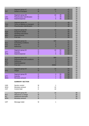|            |                                    |             |                |    |          | 26       |
|------------|------------------------------------|-------------|----------------|----|----------|----------|
|            | Segment group 47                   | $\circ$     | 10             |    | 47       | 26       |
| <b>TDT</b> | Details of transport               | M           |                |    | 47       | 26       |
|            | Segment group 48                   | O           | 10             | 48 | 47<br>47 | 26<br>26 |
| <b>LOC</b> | Place/location identification      | M           | 1              | 48 | 47       | 26       |
| <b>DTM</b> | Date/time/period                   | O           | 5              | 48 | 47       | 26       |
|            |                                    |             |                |    |          | 26       |
|            | Segment group 49                   | $\circ$     | 5              |    | 49       | 26       |
| <b>TOD</b> | Terms of delivery or transport     | M           | $\mathbf 1$    |    | 49       | 26       |
| LOC        | Place/location identification      | $\circ$     | $\overline{2}$ |    | 49       | 26       |
|            |                                    |             |                |    |          | 26       |
|            | Segment group 50                   | $\circ$     | 10             |    | 50       | 26       |
| <b>EQD</b> | <b>Equipment details</b>           | M           | 1              |    | 50       | 26       |
| <b>HAN</b> | <b>Handling instructions</b>       | O           | 5              |    | 50       | 26       |
| <b>MEA</b> | <b>Measurements</b>                | $\circ$     | 5              |    | 50       | 26       |
| <b>FTX</b> | Free text                          | $\circ$     | 5              |    | 50       | 26<br>26 |
|            | Segment group 51                   | $\circ$     | 100            |    | 51       | 26       |
| <b>SCC</b> | <b>Scheduling conditions</b>       | M           |                |    | 51       | 26       |
| <b>FTX</b> | Free text                          | O           | 5              |    | 51       | 26       |
| <b>RFF</b> | Reference                          | $\circ$     | 5              |    | 51       | 26       |
|            |                                    |             |                |    | 51       | 26       |
|            | Segment group 52                   | $\circ$     | 10             | 52 | 51       | 26       |
| QTY        | Quantity                           | M           | 1              | 52 | 51       | 26       |
| <b>DTM</b> | Date/time/period                   | $\circ$     | 5              | 52 | 51       | 26       |
|            |                                    |             |                |    |          | 26       |
|            | Segment group 53                   | $\circ$     | 999            |    | 53       | 26       |
| <b>RCS</b> | <b>Requirements and conditions</b> | M           |                |    | 53       | 26       |
| <b>RFF</b> | Reference                          | $\circ$     | 5              |    | 53       | 26       |
| <b>DTM</b> | Date/time/period                   | $\circ$     | 5              |    | 53       | 26       |
| <b>FTX</b> | Free text                          | $\circ$     | 99999          |    | 53       | 26<br>26 |
|            | Segment group 54                   | $\circ$     | 10             |    | 54       | 26       |
| <b>STG</b> | <b>Stages</b>                      | M           | 1              |    | 54       | 26       |
|            |                                    |             |                |    | 54       | 26       |
|            | Segment group 55                   | $\mathsf O$ | 3              | 55 | 54       | 26       |
| <b>QTY</b> | Quantity                           | M           | 1              | 55 | 54       | 26       |
| <b>MOA</b> | Monetary amount                    | $\circ$     | 1              | 55 | 54       | 26       |
|            |                                    |             |                |    |          |          |
|            | <b>SUMMARY SECTION</b>             |             |                |    |          |          |
|            |                                    |             |                |    |          |          |
| <b>UNS</b> | Section control                    | M           | 1              |    |          |          |
| <b>MOA</b> | Monetary amount                    | O           | 12             |    |          |          |
| <b>CNT</b> | Control total                      | O           | 10             |    |          |          |
|            | Segment group 56                   | $\mathsf C$ | 10             |    |          | 56       |
| <b>ALC</b> | Allowance or charge                | M           | 1              |    |          | 56       |
| <b>ALI</b> | Additional informatin              | $\mathsf C$ | 1              |    |          | 56       |
| <b>MOA</b> | Monetary amount                    | M           | $\overline{2}$ |    |          | 56       |
|            |                                    |             |                |    |          |          |
| <b>UNT</b> | Message trailer                    | M           | $\mathbf{1}$   |    |          |          |
|            |                                    |             |                |    |          |          |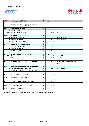



| <b>UNB</b>  | <b>Interchange Header</b>                     | M              | $\mathbf{1}$   |      |                                        |
|-------------|-----------------------------------------------|----------------|----------------|------|----------------------------------------|
| Function    | To start, identify and specify an interchange |                |                |      |                                        |
| <b>S001</b> | <b>SYNTAX IDENTIFIER</b>                      | M              | 1              |      |                                        |
|             | 0001 Syntax identifier                        | $\overline{M}$ |                | an.4 | <b>UNOC</b>                            |
|             | 0002 Syntax version number                    | M              |                | a.1  | 1                                      |
|             |                                               |                |                |      |                                        |
| <b>S002</b> | <b>INTERCHANGE SENDER</b>                     | M              | 1              |      |                                        |
|             | 0004 Sender identification                    | M              |                | an35 | your sender id                         |
|             | 0007 Partner identification                   | M              |                | an.4 | your partner id                        |
|             | 0008 Adress for reverse routing               | $\circ$        |                | an14 |                                        |
|             |                                               |                |                |      |                                        |
| <b>S003</b> | <b>INTERCHANGE RECIPIENT</b>                  | M              | 1              |      |                                        |
|             | 0010 Recipient Identification                 | M              |                | an35 | <b>ECCREX</b>                          |
|             | 0007 Partner identification                   | M              |                | an.4 | ZZ                                     |
|             | 0014 Routing adress                           | $\circ$        |                | an14 |                                        |
|             |                                               |                |                |      |                                        |
| <b>S004</b> | <b>DATE/TIME OF PREPARATION</b>               | M              | 1              |      |                                        |
|             | 0017 Date                                     | M              |                | n.6  | YYMMDD                                 |
|             | $\overline{0019}$ Time                        | M              |                | n.4  | <b>HHMM</b>                            |
|             |                                               |                |                |      |                                        |
| 0020        | INTERCHANGE CONTROL REFERENCE                 | M              | $\mathbf{1}$   | an14 | unique reference assigned by<br>sender |
|             |                                               |                |                |      |                                        |
| <b>S005</b> | <b>RECIPIENTS REFERENCE, PASSWORD</b>         | $\mathbf{o}$   | $\overline{1}$ |      |                                        |
|             | 0022 Recipients reference, password           | M              |                | an14 | as specified                           |
|             | 0025 Recipients reference, password qualifier | $\circ$        |                | an.2 |                                        |
|             |                                               |                |                |      |                                        |
| 0026        | <b>APPLICATION REFERENCE</b>                  | $\circ$        | 1              | an14 |                                        |
|             |                                               |                |                |      |                                        |
| 0029        | PROCESSING PRIORITY CODE                      | $\circ$        | 1              | an.1 |                                        |
|             |                                               |                |                |      |                                        |
| 0031        | ACKNOWLEDGEMENT REQUEST                       | O              | 1              | n.1  |                                        |
|             |                                               |                |                |      |                                        |
| 0032        | <b>COMMUNICATIONS AGREEMENT ID</b>            | O              | 1              | an35 |                                        |
|             |                                               |                |                |      |                                        |
| 0035        | <b>TEST INDICATOR</b>                         | $\circ$        | $\mathbf{1}$   | n.1  |                                        |

**Example:** UNB+UNOA:1+123456:AB+ECCREX:ZZ+030905:1058+1024+1024'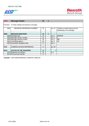

| <b>UNH</b>  | <b>Message header</b>                             | M | 1 |                |                                                                 |
|-------------|---------------------------------------------------|---|---|----------------|-----------------------------------------------------------------|
|             | Function: To head, identify and specify a message |   |   |                |                                                                 |
| 0062        | <b>MESSAGE REFERENCE NUMBER</b>                   | М |   | an14           | Contains a unique alphanumerical<br>identification of a message |
|             |                                                   |   |   |                |                                                                 |
| <b>S009</b> | <b>MESSAGE IDENTIFIER</b>                         | M | 1 |                |                                                                 |
|             | 0065 Message type                                 | М |   | an.6           | <b>ORDRSP</b>                                                   |
|             | 0052 Message version number                       | М |   | an.3           | D                                                               |
|             | 0054 Message release number                       | М |   | an.3           | 99B                                                             |
|             | 0051 Controlling agency                           | М |   | an. $.2$       | <b>UN</b>                                                       |
|             | 0057 Association assigned code                    | O |   | an $6$         |                                                                 |
|             |                                                   |   |   |                |                                                                 |
| 0068        | <b>COMMON ACCESS REFERENCE</b>                    | O |   | an35           |                                                                 |
|             |                                                   |   |   |                |                                                                 |
| <b>S010</b> | <b>STATUS OF THE TRANSFER</b>                     | O |   |                |                                                                 |
|             | 0070 Sequence of transfers                        | М |   | n <sub>2</sub> |                                                                 |
|             | 0073 First and last transfer                      | O |   |                |                                                                 |

**Example:** UNH+00002406000001+ORDRSP:D:99B:UN'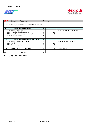



| <b>BGM</b>       | <b>Beginn of Message</b>                                   | M |   |      |                               |  |  |  |  |
|------------------|------------------------------------------------------------|---|---|------|-------------------------------|--|--|--|--|
|                  | Function: The segment is used to transfer the order number |   |   |      |                               |  |  |  |  |
| <b>C002</b>      | <b>DOCUMENT/MESSAGE NAME</b>                               | O |   |      |                               |  |  |  |  |
| 1001             | Document name code                                         | М |   | an.3 | 231 = Purchase Order Response |  |  |  |  |
| 1131 L           | Code list identification code                              | O |   | an.3 |                               |  |  |  |  |
| 3055             | Code list responsible agency code                          | O |   | an.3 |                               |  |  |  |  |
|                  | 1000 Document name                                         | O |   | an.3 |                               |  |  |  |  |
|                  |                                                            |   |   |      |                               |  |  |  |  |
| C <sub>106</sub> | <b>DOCUMENT/MESSAGE IDENTIFICATION</b>                     | O | 1 |      |                               |  |  |  |  |
| 1004             | Document/message number                                    | М |   | an.3 | Document message number       |  |  |  |  |
| 1056             | Version                                                    | O |   | an.9 |                               |  |  |  |  |
|                  | 1060 Revision number                                       | O |   | an.6 |                               |  |  |  |  |
|                  |                                                            |   |   |      |                               |  |  |  |  |
| 1225             | MESSAGE FUNCTION CODE                                      | М |   | an.3 | = Response<br>11              |  |  |  |  |
|                  |                                                            |   |   |      |                               |  |  |  |  |
| 4343             | <b>RESPONSE TYPE CODE</b>                                  | O |   | an.3 |                               |  |  |  |  |

**Example:** BGM+231+0044090225'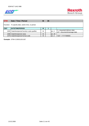

| <b>DTM</b> | Date / Time / Period                               |   | 35 |       |                                                              |
|------------|----------------------------------------------------|---|----|-------|--------------------------------------------------------------|
|            | Function: To specify date, and/or time, or period. |   |    |       |                                                              |
| C507       | DATE/TIME/PERIOD                                   | M |    |       |                                                              |
|            | 2005 Date/time/period function code qualifier      | М |    | lan3  | $2$ = requested delivery date<br>137 = document/message date |
| 2380       | Date/time/period value                             | М |    | lan35 |                                                              |
|            | 2379 Date/time/period format code                  | М |    | an3   | $"102" = YYYYMMDD$                                           |

**Example:** DTM+2:20031103:102'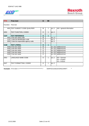



| <b>FTX</b>          | <b>Free text</b>                       | O           | 99 |       |                                                  |
|---------------------|----------------------------------------|-------------|----|-------|--------------------------------------------------|
| Function: Free text |                                        |             |    |       |                                                  |
|                     | 4451 TEXT SUBJECT CODE QUALIFIER       | М           | 1  | an.3  | AAI = general information                        |
| 4453                | TEXT FUNCTION, CODED                   | O           | 1  | an.3  |                                                  |
|                     |                                        |             |    |       |                                                  |
| C <sub>107</sub>    | <b>TEXT REFERENCE</b>                  | O           | 1  |       |                                                  |
|                     | 4441 Free text value code              | M           |    | an.17 |                                                  |
|                     | 1131 Code list identification code     | O           |    | an.3  |                                                  |
|                     | 3055 Code list responsible agency code | O           |    | an.3  |                                                  |
|                     |                                        |             |    |       |                                                  |
| C108                | <b>TEXT LITERAL</b>                    | $\mathbf O$ | 1  |       |                                                  |
|                     | 4440 Free text value                   | М           |    |       | an512 additonal text                             |
|                     | 4440 Free text value                   | O           |    |       | an512 additonal text                             |
|                     | 4440 Free text value                   | O           |    |       | an512 additonal text                             |
|                     | 4440 Free text value                   | O           |    |       | an512 additonal text                             |
|                     | 4440 Free text value                   | O           |    |       | an512 additonal text                             |
| 3453                | <b>LANGUAGE NAME CODE</b>              | O           | 1  | an.3  | $DE = German$<br>$EN =$ English<br>$FR = French$ |
| 4447                | TEXT FORMATTING, CODED                 | O           | 1  | an.3  |                                                  |

**Example:** FTX+AAI+++\*\*\*\*\*\*\*\*\*\*\*\*\*\*\*\*\*\*\*\*\*\*\*\*\*\*\*\*\*\*\*\*\*\*\*\*\*\*\*\*:\* VERPACKUNGSVORSCHRIFT \*'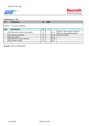

| <b>RFF</b> | <b>Reference</b>                       |   | 9999 |       |                                                                        |
|------------|----------------------------------------|---|------|-------|------------------------------------------------------------------------|
|            | Function: To specify a reference.      |   |      |       |                                                                        |
| C506       | <b>REFERENCE</b>                       | М |      |       |                                                                        |
|            | 1153 Reference function code qualifier | М |      | an.3  | $(M)$ ON = order number (customer)<br>$(M)$ VN = order number (vendor) |
|            | 1154 Reference identifier              | м |      | lan35 | document number                                                        |
|            | 1156 Line number                       | Ω |      | an6   |                                                                        |
|            | 4000 Reference version identifier      | Ω |      | lan35 |                                                                        |
|            | 1060 Revision number                   | Ω |      | an6   |                                                                        |
|            |                                        |   |      |       |                                                                        |

**Example:** RFF+VN:1000163620'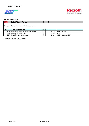

# **Segmentgroup: 1 (O)**

| <b>DTM</b> | Date / Time / Period                               |   | 5 |        |                     |
|------------|----------------------------------------------------|---|---|--------|---------------------|
|            | Function: To specify date, and/or time, or period. |   |   |        |                     |
| C507       | DATE/TIME/PERIOD                                   | М |   |        |                     |
|            | 2005 Date/time/period function code qualifier      | м |   | lan3   | $4 = order date$    |
|            | 2380 Date/time/period value                        | М |   | lan.35 | date                |
|            | 2379 Date/time/period format code                  | М |   | an.3   | $"102" = YYYYMMDD"$ |

**Example:** DTM+4:20031103:102'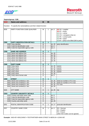

| <b>NAD</b>  | <b>Name and address</b>                                          | M                  | 99           |              |                                                                                                                                                                                                  |
|-------------|------------------------------------------------------------------|--------------------|--------------|--------------|--------------------------------------------------------------------------------------------------------------------------------------------------------------------------------------------------|
|             | Function: To specify the name/address and their related function |                    |              |              |                                                                                                                                                                                                  |
| 3035        | PARTY FUNCTION CODE QUALIFIER                                    | М                  | 1            | an.3         | $(M)$ SU = supplier<br>$(M) BY = buyer$<br>$(O) CA = carrier$<br>$(O)$ CN = consignee (ship to)<br>(O) $PK = contact$ party<br>$(O)$ PR = payer<br>(O) $BT =$ party to be billed (bill-to party) |
| <b>C082</b> | <b>PARTY IDENTIFICATION DETAILS</b>                              | $\mathbf{o}$       | $\mathbf{1}$ |              |                                                                                                                                                                                                  |
|             | 3039 Party identifier                                            | M                  |              | an35         | party identification                                                                                                                                                                             |
|             | 1131 Code list identification code                               | $\circ$            |              | an.3         |                                                                                                                                                                                                  |
|             | 3055 Code list responsible agency code                           | O                  |              | an.3         |                                                                                                                                                                                                  |
|             |                                                                  |                    |              |              |                                                                                                                                                                                                  |
| C058        | <b>NAME AND ADDRESS</b>                                          | $\mathbf{o}$       | $\mathbf{1}$ |              |                                                                                                                                                                                                  |
|             | 3124 Name and address line                                       | M                  |              | an35         |                                                                                                                                                                                                  |
|             | 3124 Name and address line<br>3124 Name and address line         | $\circ$<br>$\circ$ |              | an35<br>an35 |                                                                                                                                                                                                  |
|             | 3124 Name and address line                                       | $\circ$            |              | an35         |                                                                                                                                                                                                  |
|             | 3124 Name and address line                                       | $\overline{O}$     |              |              |                                                                                                                                                                                                  |
|             |                                                                  |                    |              | an35         |                                                                                                                                                                                                  |
| <b>C080</b> | <b>PARTY NAME</b>                                                | $\mathbf{o}$       | $\mathbf{1}$ |              |                                                                                                                                                                                                  |
|             | 3036 Party name                                                  | M                  |              | an35         | name1                                                                                                                                                                                            |
|             | 3036 Party name                                                  | $\circ$            |              | an35         | name2                                                                                                                                                                                            |
|             | 3036 Party name                                                  | $\circ$            |              | an35         | name3                                                                                                                                                                                            |
|             | 3036 Party name                                                  | O                  |              | an35         | name4                                                                                                                                                                                            |
|             | 3036 Party name                                                  | $\circ$            |              | an35         |                                                                                                                                                                                                  |
|             | 3045 Party name format code                                      | O                  |              | an.3         |                                                                                                                                                                                                  |
|             |                                                                  |                    |              |              |                                                                                                                                                                                                  |
| C059        | <b>STREET</b>                                                    | $\mathbf{o}$       | $\mathbf{1}$ |              |                                                                                                                                                                                                  |
|             | 3042 Street and number/p.o. box                                  | M                  |              | an35         | street an number or P.O. box                                                                                                                                                                     |
|             | 3042 Street and number/p.o. box                                  | $\circ$            |              | an35         | street an number or P.O. box                                                                                                                                                                     |
|             | 3042 Street and number/p.o. box                                  | $\circ$            |              | an35         | P.O. box                                                                                                                                                                                         |
|             | 3042 Street and number/p.o. box                                  | $\circ$            |              | an35         |                                                                                                                                                                                                  |
| 3164        | <b>CITY NAME</b>                                                 | $\circ$            |              |              |                                                                                                                                                                                                  |
|             |                                                                  |                    | 1            | an35         | city                                                                                                                                                                                             |
| C819        | <b>COUNTRY SUB-ENTITY DETAILS</b>                                | $\mathbf{o}$       | $\mathbf{1}$ |              |                                                                                                                                                                                                  |
|             | 3229 Country sub-entity name code                                | $\circ$            |              | an.9         |                                                                                                                                                                                                  |
|             | 1131 Code list identification code                               | O                  |              | an.3         |                                                                                                                                                                                                  |
|             | 3055 Code list responsible agency code                           | O                  |              | an.3         |                                                                                                                                                                                                  |
|             | 3228 Country sub-entity name                                     | O                  |              | an35         |                                                                                                                                                                                                  |
|             |                                                                  |                    |              |              |                                                                                                                                                                                                  |
| 3251        | POSTAL IDENTIFICATION CODE                                       | O                  | 1            | an17         | postcode identification                                                                                                                                                                          |
|             |                                                                  |                    |              |              |                                                                                                                                                                                                  |
| 3207        | <b>COUNTRY NAME CODE</b>                                         | Μ                  | 1            | an3          | $DE = German$                                                                                                                                                                                    |
|             |                                                                  |                    |              |              | $EN = English$                                                                                                                                                                                   |
|             |                                                                  |                    |              |              | $FR = French$                                                                                                                                                                                    |
|             |                                                                  |                    |              |              | (other ISO-Codes can be agreed)                                                                                                                                                                  |

**Example:** NAD+BY+0001234567++TESTPARTNER+MAIN STREET 8+BERLIN++12345+DE'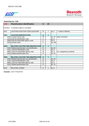



| <b>LOC</b>                | <b>Place/location identification</b>        | O            | 25 |       |                             |
|---------------------------|---------------------------------------------|--------------|----|-------|-----------------------------|
|                           | Function: To identify a place or a location |              |    |       |                             |
| 3227                      | LOCATION FUNCTION CODE QUALIFIER            | м            |    | an.3  | $7$ = place of delivery     |
|                           |                                             |              |    |       |                             |
| C517                      | <b>LOCATION IDENTIFICATION</b>              | O            | 1  |       |                             |
|                           | 3225 Location name code                     | М            |    | an25  | place of location           |
|                           | 1131 Code list identification code          | С            |    | an.3  |                             |
|                           | 3055 Code list responsible agency code      | С            |    | an.3  |                             |
|                           | 3224 Location name                          | С            |    | an256 |                             |
|                           |                                             |              |    |       |                             |
| C519                      | <b>RELATED LOCATION ONE IDENTIFICATION</b>  | $\mathbf{o}$ | 1  |       |                             |
| 3223                      | Related place/location one identification   | O            |    | an25  |                             |
| 1131                      | Code list identification code               | O            |    | an.3  |                             |
|                           | 3055 Code list responsible agency code      | M            |    | an.3  | $92$ = assigned by customer |
|                           | 3222 Related place/location one             | O            |    | an70  |                             |
|                           |                                             |              |    |       |                             |
| $\overline{\text{C}}$ 553 | <b>RELATED LOCATION TWO IDENTIFICATION</b>  | $\mathbf{o}$ | 1  |       |                             |
| 3233                      | Related place/location two identification   | O            |    | an25  |                             |
| 1131                      | Code list identification code               | O            |    | an.3  |                             |
| 3055                      | Code list responsible agency code           | O            |    | an.3  |                             |
| 3232                      | Related place/location two                  | O            |    | an70  |                             |
|                           |                                             |              |    |       |                             |
| 5479                      | <b>RELATION, CODED</b>                      | O            |    | lan3  |                             |

**Example:** LOC+7+W123+92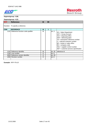



# **Segmentgroup: 4 (O)**

| <b>RFF</b> | <b>Reference</b>                       | M | 99 |        |                                                                                                                                                                                                                                                                                                                 |
|------------|----------------------------------------|---|----|--------|-----------------------------------------------------------------------------------------------------------------------------------------------------------------------------------------------------------------------------------------------------------------------------------------------------------------|
|            | Function: To specify a reference.      |   |    |        |                                                                                                                                                                                                                                                                                                                 |
| C506       | <b>REFERENCE</b>                       | M |    |        |                                                                                                                                                                                                                                                                                                                 |
|            | 1153 Reference function code qualifier | м |    | an.3   | SD = Sales Department<br>ADT = Group Account<br>$ADJ =$ disposing office<br>$ADK =$ delivering plant<br>$TN =$ transaction reference number<br>$IT = internal customer number$<br>$BR =$ broker or sales office<br>$BN = company code$<br>AEU = supplier control number<br>AEF = customer process specification |
|            | 1154 Reference identifier              | М |    | an35   | reference id                                                                                                                                                                                                                                                                                                    |
|            | 1156 Line number                       | O |    | an.6   |                                                                                                                                                                                                                                                                                                                 |
|            | 4000 Reference version identifier      | O |    | an35   |                                                                                                                                                                                                                                                                                                                 |
|            | 1060 Revision number                   | O |    | an $6$ |                                                                                                                                                                                                                                                                                                                 |

**Example:** RFF+TN:10'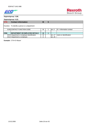



# **Segmentgroup: 6 (O)**

| <b>CTA</b> | <b>Contact information</b>                     | M |       |                            |
|------------|------------------------------------------------|---|-------|----------------------------|
|            | Function: To identify a person or a department |   |       |                            |
|            | 3139 CONTACT FUNCTION CODE                     | м | lan3  | $IC = Information contact$ |
|            |                                                |   |       |                            |
| C056       | <b>IDEPARTMENT OR EMPLOYEE DETAILS</b>         | M |       |                            |
|            | 3413 Department or employee identification     | м | lan17 | Iname or identification    |
|            | 3412 Department or employee                    | O | lan35 |                            |

**Example:** CTA+IC+Bauer'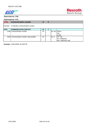



#### **Segmentgroup: 6 (O)**

| <b>COM</b>  | <b>Communication contact</b>                 |   | 5 |              |                        |
|-------------|----------------------------------------------|---|---|--------------|------------------------|
|             | Function: To identify a communication number |   |   |              |                        |
| <b>C076</b> | <b>COMMUNICATION CONTACT</b>                 | M |   |              |                        |
|             | 3148 Communication number                    | М |   | lan512 Phone |                        |
|             |                                              |   |   |              | <b>IFax</b>            |
|             |                                              |   |   |              | E-Mail                 |
|             | 3155 Communication number code qualifier     | М |   | an.3         | $FX = fax$             |
|             |                                              |   |   |              | $TE = telephone$       |
|             |                                              |   |   |              | $EM =$ electronic mail |

**Example:** COM+09352 18 1845:TE'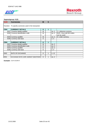

# **Segmentgroup: 8 (O)**

| <b>CUX</b> | <b>Currencies</b>                                       | M | 5 |      |                           |
|------------|---------------------------------------------------------|---|---|------|---------------------------|
|            | Function: To specify currencies used in the transaction |   |   |      |                           |
| C504       | <b>CURRENCY DETAILS</b>                                 | O |   |      |                           |
|            | 6347 Currency details qualifier                         | М |   | an.3 | $2$ = reference currency  |
|            | 6345 Currency identification code                       | М |   | an.3 | EUR = Euro (all ISO-codes |
|            |                                                         |   |   |      | can be used)              |
|            | 6343 Currency qualifier                                 | М |   | an.3 | $9 =$ order currency      |
|            | 6348 Currency rate base                                 | O |   | n.A  |                           |
|            |                                                         |   |   |      |                           |
| C504       | <b>CURRENCY DETAILS</b>                                 | O | 1 |      |                           |
| 6347       | Currency details qualifier                              | М |   | an.3 |                           |
|            | 6345 Currency identification code                       | O |   | an.3 |                           |
|            | 6343 Currency qualifier                                 | O |   | an.3 |                           |
|            | 6348 Currency rate base                                 | O |   | n.4  |                           |
|            |                                                         |   |   |      |                           |
| 5402       | RATE OF EXCHANGE                                        | O |   | n.12 |                           |
|            |                                                         |   |   |      |                           |
| 6341       | EXCHANGE RATE CURR. MARKET IDENTIFIER                   | O |   | an.3 |                           |

**Example:** CUX+2:EUR:9'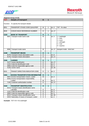



| Segment Group 10 (O) |                                                                   |                    |                |      |                                                                                                                 |  |  |
|----------------------|-------------------------------------------------------------------|--------------------|----------------|------|-----------------------------------------------------------------------------------------------------------------|--|--|
| <b>TDT</b>           | <b>Details of transport</b>                                       | O                  | 1              |      |                                                                                                                 |  |  |
|                      | Function: To specify the transport details                        |                    |                |      |                                                                                                                 |  |  |
| 8051                 | TRANSPORT STAGE CODE QUALIFIER                                    | M                  | 1              | an.3 | "XX" - fix value                                                                                                |  |  |
| 8028                 | CONVEYANCE REFERENCE NUMBER                                       | O                  | 1              | an17 |                                                                                                                 |  |  |
|                      |                                                                   |                    |                |      |                                                                                                                 |  |  |
| C220                 | <b>MODE OF TRANSPORT</b>                                          | $\mathbf{o}$       | $\overline{1}$ |      |                                                                                                                 |  |  |
| 8067                 | Transport mode name code                                          | M                  |                | an.3 | $1 =$ seafreight<br>$2 = \text{train}$<br>$3 =$ truck<br>$4 =$ airfreight<br>$5 = \text{mail}$<br>$9 =$ express |  |  |
|                      | 8066 Transport mode name                                          | M                  |                | an17 | transport mode - short text                                                                                     |  |  |
|                      |                                                                   |                    |                |      |                                                                                                                 |  |  |
| C228                 | <b>TRANSPORT MEANS</b>                                            | $\mathbf{o}$       | 1              |      |                                                                                                                 |  |  |
|                      | 8179 Transport means description code                             | $\circ$            |                | an.8 |                                                                                                                 |  |  |
|                      | 8178 Transport means description                                  | O                  |                | an17 |                                                                                                                 |  |  |
|                      | <b>CARRIER</b>                                                    |                    |                |      |                                                                                                                 |  |  |
| <b>C040</b>          |                                                                   | $\mathbf{o}$       | $\mathbf{1}$   |      |                                                                                                                 |  |  |
|                      | 3127 Carrier identification<br>1131 Code list identification code | $\circ$<br>$\circ$ |                | an17 |                                                                                                                 |  |  |
|                      |                                                                   |                    |                | an.3 |                                                                                                                 |  |  |
|                      | 3055 Code list responsible agency code                            | $\circ$            |                | an.3 |                                                                                                                 |  |  |
|                      | 3128 Carrier name                                                 | $\circ$            |                | an35 |                                                                                                                 |  |  |
| 8101                 | TRANSIT DIRECTION INDICATOR CODE                                  | $\circ$            | 1              | an.3 |                                                                                                                 |  |  |
|                      |                                                                   |                    |                |      |                                                                                                                 |  |  |
| C401                 | <b>EXCESS TRANSPORTATION INFORMATION</b>                          | $\mathbf{o}$       | $\overline{1}$ |      |                                                                                                                 |  |  |
|                      | 8457 Excess transportation reason, coded                          | M                  |                | an.3 |                                                                                                                 |  |  |
| 8459                 | Excess transportation responsibility,                             |                    |                |      |                                                                                                                 |  |  |
|                      | coded                                                             | M                  |                | an.3 |                                                                                                                 |  |  |
| 7130                 | Customer authorization number                                     | $\circ$            |                | an17 |                                                                                                                 |  |  |
|                      |                                                                   |                    |                |      |                                                                                                                 |  |  |
| C222                 | <b>TRANSPORT IDENTIFICATION</b>                                   | $\mathbf{o}$       | $\overline{1}$ |      |                                                                                                                 |  |  |
| 8213                 | Transport means identification name                               |                    |                |      |                                                                                                                 |  |  |
|                      | identifier                                                        | O                  |                | an.9 |                                                                                                                 |  |  |
| 1131                 | Code list identification code                                     | $\circ$            |                | an.3 |                                                                                                                 |  |  |
|                      | 3055 Code list responsible agency code                            | $\circ$            |                | an.3 |                                                                                                                 |  |  |
|                      | 8212 Transport means identification name                          | $\circ$            |                | an35 |                                                                                                                 |  |  |
|                      | 8453 Nationality of means of transport, coded                     | $\circ$            |                | an.3 |                                                                                                                 |  |  |
|                      |                                                                   |                    |                |      |                                                                                                                 |  |  |

**Example:** TDT+XX++01:seafreight'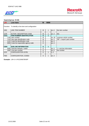

| <b>LIN</b> | Line item                                           | M | 9999 |                |                            |
|------------|-----------------------------------------------------|---|------|----------------|----------------------------|
|            |                                                     |   |      |                |                            |
|            | Function: To identify a line item and configuration |   |      |                |                            |
| 1082       | LINE ITEM NUMBER                                    | м |      | an.6           | line item number           |
|            |                                                     |   |      |                |                            |
| 1229       | <b>ACTION DESCRIPTION CODE</b>                      | М |      | an.3           | 001                        |
| C212       | <b>ITEM NUMBER IDENTIFICATION</b>                   | O | 1    |                |                            |
|            | 7140 Item number                                    | М |      | an35           | customer article number    |
|            | 7143 Item type identification code                  | М |      | an.3           | "BP" = buyer's part number |
| 1131 l     | Code list identification code                       | O |      | an.3           |                            |
|            | 3055 Code list responsible agency code              | O |      | an.3           |                            |
|            |                                                     |   |      |                |                            |
| C829       | <b>SUB-LINE INFORMATION</b>                         | O | 1    |                |                            |
| 5495I      | Sub-line indicator, coded                           | O |      | an.3           | $=$ sub line information   |
| 1082I      | Line item number                                    | O |      | an $6$         | line number                |
| 1222       | <b>CONFIGURATION LEVEL</b>                          | O |      | n <sub>2</sub> |                            |
|            |                                                     |   |      |                |                            |
| 7083       | CONFIGURATION, CODED                                | O |      | an.3           |                            |

**Example:** LIN+1+1+R123456789:BP'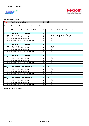

| <b>PIA</b>       | <b>Additional product id</b>                                                | $\mathbf O$  | 25             |      |                                  |  |  |  |  |  |  |
|------------------|-----------------------------------------------------------------------------|--------------|----------------|------|----------------------------------|--|--|--|--|--|--|
|                  | Function: To specify additional or substitutional item identification codes |              |                |      |                                  |  |  |  |  |  |  |
| 4347             | PRODUCT ID. FUNCTION QUALIFIER                                              | М            | 1              | an.3 | $5 =$ product identification     |  |  |  |  |  |  |
|                  |                                                                             |              |                |      |                                  |  |  |  |  |  |  |
| C <sub>212</sub> | <b>ITEM NUMBER IDENTIFICATION</b>                                           | M            | $\overline{1}$ |      |                                  |  |  |  |  |  |  |
|                  | 7140 Item number                                                            | М            |                | an35 | item number of vendor            |  |  |  |  |  |  |
|                  | 7143 Item type identification code                                          | M            |                | an.3 | "SA" = supplier's article number |  |  |  |  |  |  |
|                  | 1131 Code list identification code                                          | O            |                | an.3 |                                  |  |  |  |  |  |  |
|                  | 3055 Code list responsible agency code                                      | $\circ$      |                | an.3 |                                  |  |  |  |  |  |  |
|                  |                                                                             |              |                |      |                                  |  |  |  |  |  |  |
| C <sub>212</sub> | <b>ITEM NUMBER IDENTIFICATION</b>                                           | $\mathbf{o}$ | $\mathbf{1}$   |      |                                  |  |  |  |  |  |  |
|                  | 7140 Item number                                                            | $\circ$      |                | an35 |                                  |  |  |  |  |  |  |
|                  | 7143 Item type identification code                                          | $\circ$      |                | an.3 |                                  |  |  |  |  |  |  |
|                  | 1131 Code list identification code                                          | O            |                | an.3 |                                  |  |  |  |  |  |  |
|                  | 3055 Code list responsible agency code                                      | O            |                | an.3 |                                  |  |  |  |  |  |  |
|                  |                                                                             |              |                |      |                                  |  |  |  |  |  |  |
| C <sub>212</sub> | <b>ITEM NUMBER IDENTIFICATION</b>                                           | $\mathbf{o}$ | 1              |      |                                  |  |  |  |  |  |  |
|                  | 7140 Item number                                                            | $\circ$      |                | an35 |                                  |  |  |  |  |  |  |
|                  | 7143 Item type identification code                                          | O            |                | an.3 |                                  |  |  |  |  |  |  |
|                  | 1131 Code list identification code                                          | $\circ$      |                | an.3 |                                  |  |  |  |  |  |  |
|                  | 3055 Code list responsible agency code                                      | $\circ$      |                | an.3 |                                  |  |  |  |  |  |  |
|                  |                                                                             |              |                |      |                                  |  |  |  |  |  |  |
| C <sub>212</sub> | <b>ITEM NUMBER IDENTIFICATION</b>                                           | $\mathbf{o}$ | $\overline{1}$ |      |                                  |  |  |  |  |  |  |
|                  | 7140 Item number                                                            | $\circ$      |                | an35 |                                  |  |  |  |  |  |  |
|                  | 7143 Item type identification code                                          | O            |                | an.3 |                                  |  |  |  |  |  |  |
|                  | 1131 Code list identification code                                          | O            |                | an.3 |                                  |  |  |  |  |  |  |
|                  | 3055 Code list responsible agency code                                      | $\circ$      |                | an.3 |                                  |  |  |  |  |  |  |
|                  |                                                                             |              |                |      |                                  |  |  |  |  |  |  |
| C212             | <b>ITEM NUMBER IDENTIFICATION</b>                                           | $\mathbf O$  | 1              |      |                                  |  |  |  |  |  |  |
|                  | 7140 Item number                                                            | O            |                | an35 |                                  |  |  |  |  |  |  |
|                  | 7143 Item type identification code                                          | O            |                | an.3 |                                  |  |  |  |  |  |  |
|                  | 1131 Code list identification code                                          | O            |                | an.3 |                                  |  |  |  |  |  |  |
|                  | 3055 Code list responsible agency code                                      | O            |                | an.3 |                                  |  |  |  |  |  |  |

**Example:** PIA+5+246810:SA'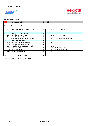



| <b>IMD</b>       | <b>Item description</b>                | О | 99 |      |                           |
|------------------|----------------------------------------|---|----|------|---------------------------|
|                  | Function: To describe an item          |   |    |      |                           |
|                  | 7077 ITEM DESCRIPTION TYPE, CODED      | М |    | an.3 | $"F" = free-form$         |
|                  |                                        |   |    |      |                           |
| C272             | <b>ITEM CHARACTERISTIC</b>             | M | 1  |      |                           |
|                  | 7081 Item characteristic code          | М |    | an.3 | $"8" = product$           |
|                  | 1131 Code list identification code     | O |    | an.3 |                           |
|                  | 3055 Code list responsible agency code | М |    | an.3 | $91 =$ assigned by seller |
| C <sub>273</sub> | <b>ITEM DESCRIPTION</b>                | O | 1  |      |                           |
|                  | 7009 Item description identification   | O |    | an17 |                           |
|                  | 1131 Code list identification code     | O |    | an.3 |                           |
|                  | 3055 Code list responsible agency code | O |    | an.3 |                           |
|                  | 7008 Item description                  | М |    |      | an256 Item describition   |
|                  | 7008 Item description                  | O |    |      | an256 Item describtion    |
|                  | 3453 Language name code                | O |    | an.3 |                           |
|                  |                                        |   |    |      |                           |
| 7383             | SURFACE/LAYER CODE                     | O |    | an.3 |                           |

**Example:** IMD+F+8::91+:::TESTMATERIAL'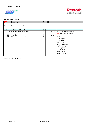

| <b>QTY</b>       | Quantity                          | M | 99 |      |                               |
|------------------|-----------------------------------|---|----|------|-------------------------------|
|                  | Function: To specify a quantity   |   |    |      |                               |
| C <sub>186</sub> | <b>QUANTITY DETAILS</b>           | M |    |      |                               |
|                  | 6063 Quantity type code qualifier | М |    | an.3 | $\phi$ 21 = ordered quantity  |
|                  |                                   |   |    |      | $(M)$ 131 = delivery quantity |
|                  | 6060 Quantity                     | M |    | an35 |                               |
|                  | 6411 Measurement unit code        | M |    | an.3 | CMT = centimeter              |
|                  |                                   |   |    |      | $GRM = gram$                  |
|                  |                                   |   |    |      | $LTR =$ litre                 |
|                  |                                   |   |    |      | $MTR = metre$                 |
|                  |                                   |   |    |      | $IMLT = millimeter$           |
|                  |                                   |   |    |      | $NMP = package$               |
|                  |                                   |   |    |      | $NPL = \text{parcel}$         |
|                  |                                   |   |    |      | $PCE = piece$                 |
|                  |                                   |   |    |      | $BAR = plate$                 |
|                  |                                   |   |    |      | $KGM = kilogram$              |
|                  |                                   |   |    |      |                               |

**Example:** QTY+21:2:PCE'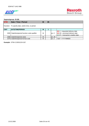

| <b>DTM</b>       | Date / Time / Period                               |   | 35 |      |                                      |
|------------------|----------------------------------------------------|---|----|------|--------------------------------------|
|                  | Function: To specify date, and/or time, or period. |   |    |      |                                      |
| C <sub>507</sub> | DATE/TIME/PERIOD                                   | м |    |      |                                      |
|                  |                                                    |   |    |      | $(M)$ 2 = requested delivery date    |
|                  | 2005 Date/time/period function code qualifier      | М |    | lan3 | $(M)$ 69 = promised delivery date    |
|                  |                                                    |   |    |      | $(O)$ 97 = transaction creation date |
| 2380 <b>1</b>    | Date/time/period value                             | М |    | an35 |                                      |
|                  | 2379 Date/time/period format code                  | М |    | an.3 | l"102" = YYYYMMDD                    |

**Example:** DTM+2:20031224:102'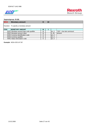

| <b>MOA</b> | <b>Monetary amount</b>                   |   | 10 |      |                           |
|------------|------------------------------------------|---|----|------|---------------------------|
|            | Function: To specify a monetary amount   |   |    |      |                           |
| C516       | <b>MONETARY AMOUNT</b>                   | м |    |      |                           |
|            | 5025 Monetary amount type code qualifier | М |    | an.3 | "203" = line item ammount |
|            | 5004 Monetary amount value               | М |    | n35  | amount                    |
|            | 6345 Currency identification code        |   |    | an.3 |                           |
|            | 6343 Currency qualifier                  | Ω |    | an.3 |                           |
|            | 4405 Status description code             | O |    | an.3 |                           |

**Example:** MOA+203:147.50'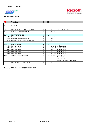



| <b>FTX</b>          | <b>Free text</b>                   | O           | 99 |        |                             |
|---------------------|------------------------------------|-------------|----|--------|-----------------------------|
| Function: Free text |                                    |             |    |        |                             |
| 4451                | <b>TEXT SUBJECT CODE QUALIFIER</b> | М           |    | an.3   | $LIN = line item text$      |
| 4453                | TEXT FUNCTION, CODED               | М           |    | an $3$ |                             |
|                     |                                    |             |    |        |                             |
| C <sub>107</sub>    | <b>TEXT REFERENCE</b>              | O           | 1  |        |                             |
| 44411               | Free text value code               | М           |    | an17   |                             |
| 1131                | Code list identification code      | O           |    | an.3   |                             |
| 3055                | Code list responsible agency code  | O           |    | an.3   |                             |
|                     |                                    |             |    |        |                             |
| C108                | <b>TEXT LITERAL</b>                | $\mathbf O$ | 1  |        |                             |
|                     | 4440 Free text value               | М           |    |        | an512 additonal text        |
|                     | 4440 Free text value               | O           |    |        | an512 additonal text        |
|                     | 4440 Free text value               | O           |    |        | an512 additonal text        |
|                     | 4440 Free text value               | O           |    |        | an512 additonal text        |
|                     | 4440 Free text value               | O           |    |        | an512 additonal text        |
| 3453                | <b>LANGUAGE NAME CODE</b>          | М           | 1  | an.3   | $DE = German$               |
|                     |                                    |             |    |        | $EN = English$              |
|                     |                                    |             |    |        | $FR =$ French               |
|                     |                                    |             |    |        | (other ISO-Codes agreeable) |
| 4447                | TEXT FORMATTING, CODED             | O           |    | an.3   |                             |

**Example:** FTX+LIN+++SOME COMMENTS+DE'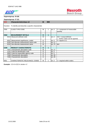



#### **Segmentgroup: 27 (O)**

| <b>CCI</b> | <b>Characteristic/class id</b>                               | M | 999 |      |                                                         |
|------------|--------------------------------------------------------------|---|-----|------|---------------------------------------------------------|
|            | Function: To identify and describe a specific characteristic |   |     |      |                                                         |
| 7059       | <b>CLASS TYPE CODE</b>                                       | м |     | an.3 | $3 =$ component of measurable<br>quantity               |
| C502       | <b>MEASUREMENT DETAILS</b>                                   | O | 1   |      |                                                         |
|            | 6313 Measured attribute code                                 | М |     | an.3 | ZZZ = mutual definied<br>( further codes can be agreed) |
|            | 6321 Measurement significance, coded                         | O |     | an.3 | $4 =$ equal to $(=)$                                    |
|            | 6155 Non-discrete measurement name code                      | O |     | an17 |                                                         |
|            | 6154 Non-discrete measurement name                           | М |     | an70 | text                                                    |
|            |                                                              |   |     |      |                                                         |
| C240       | <b>PRODUCT CHARACTERISTIC</b>                                | O | 1   |      |                                                         |
|            | 7037 Characteristic description code                         | М |     | an17 |                                                         |
|            | 1131 Code list identification code                           | O |     | an.3 |                                                         |
|            | 3055 Code list responsible agency code                       | O |     | an.3 |                                                         |
|            | 7036 Characteristic description                              | O |     | an35 |                                                         |
|            | 7036 Characteristic description                              | O |     | an35 |                                                         |
|            |                                                              |   |     |      |                                                         |
| 4051       | CHARACTERISTIC RELEVANCE, CODED                              | M |     | an.3 | $2$ = required within orders                            |

**Example:** CCI+3+ZZZ:4::stroke++2'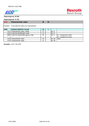



# **Segmentgroup: 27 (O)**

| <b>CAV</b> | <b>Characteristic value</b>                        | M | 10 |       |                           |
|------------|----------------------------------------------------|---|----|-------|---------------------------|
|            | Function: To provide the value of a characteristic |   |    |       |                           |
| C889       | <b>CHARACTERISTIC VALUE</b>                        | M |    |       |                           |
|            | 7111 Characteristic value, coded                   | O |    | an.3  |                           |
| 1131       | Code list identification code                      | O |    | an.3  |                           |
|            | 3055 Code list responsible agency code             | M |    | an.3  | $91 =$ assigned by seller |
|            |                                                    |   |    |       | $92 =$ assigned by buyer  |
| 7110L      | Characteristic value                               | M |    | lan35 | value                     |
|            | 7110 Characteristic value                          | Ω |    | an35  |                           |

**Example:** CAV+::92:1200'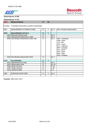



# **Segmentgroup: 27 (O)**

| <b>MEA</b> | <b>Measurements</b>                                          | O            | 10           |      |                                                                                                                                                                                              |
|------------|--------------------------------------------------------------|--------------|--------------|------|----------------------------------------------------------------------------------------------------------------------------------------------------------------------------------------------|
|            | Function: To identify and describe a specific characteristic |              |              |      |                                                                                                                                                                                              |
| 6311       | MEASUREMENT ATTRIBUTE CODE                                   | M            | 1            | an.3 | AAA = line item measurement                                                                                                                                                                  |
|            |                                                              |              |              |      |                                                                                                                                                                                              |
| C502       | <b>MEASUREMENT DETAILS</b>                                   | $\mathbf{o}$ | $\mathbf{1}$ |      |                                                                                                                                                                                              |
|            | 6313 Measured attribute code                                 | $\circ$      |              | an.3 |                                                                                                                                                                                              |
|            | 6321 Measurement significance, coded                         | $\circ$      |              | an.3 |                                                                                                                                                                                              |
|            | 6155 Non-discrete measurement name code                      | $\circ$      |              | an.1 | $CMT = centimeter$<br>$GRM = gram$<br>$LTR =$ litre<br>$MTR = metre$<br>$MLT = millimetre$<br>$NMP = package$<br>$NPL = \text{parcel}$<br>$PCE = piece$<br>$BAR = plate$<br>$KGM = kilogram$ |
| 6154       | Non-discrete measurement name                                | O            |              | an.7 |                                                                                                                                                                                              |
|            |                                                              |              |              |      |                                                                                                                                                                                              |
| C174       | <b>VALUE/RANGE</b>                                           | $\mathbf O$  | $\mathbf{1}$ |      |                                                                                                                                                                                              |
| 6411       | Measurement unit code                                        | M            |              | an.3 |                                                                                                                                                                                              |
|            | 6314 Measurement value                                       | $\circ$      |              | an18 |                                                                                                                                                                                              |
|            | 6162 Range minimum                                           | $\circ$      |              | n.18 |                                                                                                                                                                                              |
|            | 6152 Range maximum                                           | $\circ$      |              | n.18 |                                                                                                                                                                                              |
|            | 6432 Significant digits                                      | $\circ$      |              | n.2  |                                                                                                                                                                                              |
|            |                                                              |              |              |      |                                                                                                                                                                                              |
| 7383       | SURFACE/LAYER CODE                                           | $\circ$      | 1            | an.3 |                                                                                                                                                                                              |
|            |                                                              |              |              |      |                                                                                                                                                                                              |

**Example:** MEA+AAA+::MLT'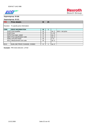



## **Segmentgroup: 30 (O)**

| PRI              | <b>Price details</b>                    | M | 25 |      |                   |
|------------------|-----------------------------------------|---|----|------|-------------------|
|                  | Function: To specify price information. |   |    |      |                   |
| C <sub>509</sub> | <b>PRICE INFORMATION</b>                | M |    |      |                   |
|                  | 5125 Price qualifier                    | М |    | an.3 | $AAA = net price$ |
|                  | 5118 Price                              | м |    | n.15 |                   |
|                  | 5375 Price type, coded                  | O |    | an.3 |                   |
|                  | 5387 Price specification code           | O |    | an.3 |                   |
|                  | 5284 Unit price basis                   | М |    | n.9  |                   |
| 6411             | Measurement unit code                   | М |    | an.3 |                   |
|                  |                                         |   |    |      |                   |
| 5213             | SUB-LINE PRICE CHANGE, CODED            | O |    | an.3 |                   |

**Example:** PRI+AAA:4342.84:::1:PCE'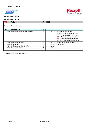



| Segmentgroup: 31 (M) |                                        |   |      |      |                                                                                                                                                                                                                      |  |  |
|----------------------|----------------------------------------|---|------|------|----------------------------------------------------------------------------------------------------------------------------------------------------------------------------------------------------------------------|--|--|
| <b>RFF</b>           | <b>Reference</b>                       | M | 9999 |      |                                                                                                                                                                                                                      |  |  |
|                      | Function: To specify a reference.      |   |      |      |                                                                                                                                                                                                                      |  |  |
| <b>C506</b>          | <b>REFERENCE</b>                       | М |      |      |                                                                                                                                                                                                                      |  |  |
|                      | 1153 Reference function code qualifier | M |      | an.3 | $(O)$ AAG = offer number<br>$(O)$ ACE = related document no.<br>( $O$ ) OP = original purchase order<br>$(M) ON = order number (customer)$<br>$(M)$ VN = order number (vendor)<br>$(O)$ SRN = shipment reference no. |  |  |
|                      | 1154 Reference identifier              | М |      | an35 | offer number, shipment ref.,                                                                                                                                                                                         |  |  |
|                      | 1156 Line number                       | М |      | an.6 | line number                                                                                                                                                                                                          |  |  |
|                      | 4000 Reference version identifier      | O |      | an35 |                                                                                                                                                                                                                      |  |  |
|                      | 1060 Revision number                   | O |      | an6  |                                                                                                                                                                                                                      |  |  |
|                      |                                        |   |      |      |                                                                                                                                                                                                                      |  |  |

**Example:** RFF+ON:4500012345:10'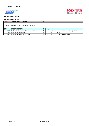

#### **Segmentgroup: 31 (O)**

| $U_{\mathcal{G}}$ |                                                    |   |  |       |                               |  |  |
|-------------------|----------------------------------------------------|---|--|-------|-------------------------------|--|--|
| <b>DTM</b>        | Date / Time / Period                               |   |  |       |                               |  |  |
|                   | Function: To specify date, and/or time, or period. |   |  |       |                               |  |  |
| C507              | DATE/TIME/PERIOD                                   | M |  |       |                               |  |  |
|                   | 2005 Date/time/period function code qualifier      | М |  | lan3  | $137$ = document/message date |  |  |
|                   | 2380 Date/time/period value                        | М |  | lan35 | Idate                         |  |  |
|                   | 2379 Date/time/period format code                  | М |  | an.3  | $1"102" = YYYYMMDD$           |  |  |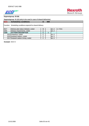



#### **Segmentgroup: 51 (O) (only to be used in case of shared deliveries)**

| <b>SCC</b> | <b>Scheduling conditions</b>                                 |        | 999 |      |          |
|------------|--------------------------------------------------------------|--------|-----|------|----------|
|            | Function: Scheduling conditions especial for shared delivery |        |     |      |          |
| 4017       | Delivery plan status indicator, coded                        | м      |     | an3  | $=$ Firm |
| 4493       | Delivery requirements, coded                                 | С      |     | an.3 |          |
| C329       | <b>PATTERN DESCRIPTION</b>                                   | C      |     |      |          |
|            | 2013 Frequency, coded                                        | ⌒<br>◡ |     | an.3 |          |
|            | 2015 Despatch pattern, coded                                 | С      |     | an.3 |          |
|            | 2017 Despatch pattern timing, coded                          | ⌒<br>ັ |     | an.3 |          |

**Example:** SCC+1'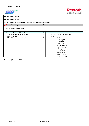



**Segmentgroup: 51 (O)**

**Segmentgroup: 52 (O) (only to be used in case of shared delvieries)**

| Segmentyroup. 32 (O) (only to be used in case or shared dervienes) |                                 |         |  |      |                                                                                                                                                                                                              |  |  |
|--------------------------------------------------------------------|---------------------------------|---------|--|------|--------------------------------------------------------------------------------------------------------------------------------------------------------------------------------------------------------------|--|--|
| <b>QTY</b>                                                         | Quantity                        | O       |  |      |                                                                                                                                                                                                              |  |  |
|                                                                    | Function: To specify a quantity |         |  |      |                                                                                                                                                                                                              |  |  |
| C <sub>186</sub>                                                   | <b>QUANTITY DETAILS</b>         | M       |  |      |                                                                                                                                                                                                              |  |  |
| 6063                                                               | Quantity type code qualifier    | М       |  | an.3 | $131$ = delivery quantity                                                                                                                                                                                    |  |  |
| 6060                                                               | Quantity                        | М       |  | an35 |                                                                                                                                                                                                              |  |  |
| 6411                                                               | Measurement unit code           | $\circ$ |  | an.3 | $CMT =$ centimeter<br>$GRM = gram$<br>$LTR =$ litre<br>$MTR = metre$<br>$MLT =$ millimetre<br>$NMP = package$<br>$NPL = \text{parcel}$<br>$PCE = piece$<br>$BAR = plate$<br>$KGM = kilogram$<br>any ISO-Code |  |  |

**Example:** QTY+131:2:PCE'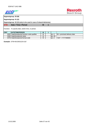



**Segmentgroup: 51 (O)**

**Segmentgroup: 52 (O) (only to be used in case of shared delvieries)**

Function: To specify date, and/or time, or period.

| C507 | <b>IDATE/TIME/PERIOD</b>                      | М |       |                               |
|------|-----------------------------------------------|---|-------|-------------------------------|
|      | 2005 Date/time/period function code qualifier | м | l'an… | $69$ = promised delivery date |
|      | 2380 Date/time/period value                   | м | lan35 |                               |
|      | 2379 Date/time/period format code             | м | ⊒anJ  | $l$ "102" = YYYYMMDD          |

**Example:** DTM+69:20031224:102'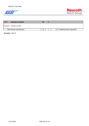



| <b>UNS</b> | <b>Section control</b>      | M |                                         |
|------------|-----------------------------|---|-----------------------------------------|
|            | Function: Section Control   |   |                                         |
|            | 0081 Section identification | M | $1\text{S}$ = detail/summary separation |

**Example:** UNS+S'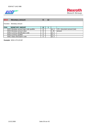



| <b>MOA</b> | <b>Monetary amount</b>                   |   | 12 |      |                               |
|------------|------------------------------------------|---|----|------|-------------------------------|
|            | Function: Monetary amount                |   |    |      |                               |
| C516       | <b>MONETARY AMOUNT</b>                   | M |    |      |                               |
|            | 5025 Monetary amount type code qualifier | М |    | an.3 | $170$ = document amount (net) |
|            | 5004 Monetary amount value               | M |    | n.35 | lamount                       |
|            | 6345 Currency identification code        | O |    | an.3 |                               |
|            | 6343 Currency qualifier                  | Ω |    | lan3 |                               |
|            | 4405 Status description code             | ◠ |    | an.3 |                               |

**Example:** MOA+170:123.50'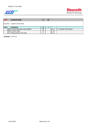

| <b>CNT</b> | <b>Control total</b>                   |   | 10 |      |                            |
|------------|----------------------------------------|---|----|------|----------------------------|
|            | IFunction: number of line items        |   |    |      |                            |
| C270       | <b>CONTROL</b>                         | M |    |      |                            |
|            | 6069 Control total type code qualifier | M |    | an.3 | $2 =$ number of line items |
|            | 6066 Control value                     | M |    | n.18 |                            |
| 6411       | Measurement unit code                  |   |    | an.3 |                            |

**Example:** CNT+2:1'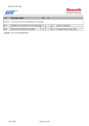



| <b>UNT</b> | Message trailer                                          |   |       |                              |
|------------|----------------------------------------------------------|---|-------|------------------------------|
|            | Function: To end and check the completeness of a message |   |       |                              |
| 0074       | NUMBER OF SEGMENTS IN THE MESSAGE                        | M | ln6   | number of segments           |
|            |                                                          |   |       |                              |
| 0062       | <b>IMESSAGE REFERECNCE NUMBER</b>                        | M | lan14 | message reference (like UNH) |

**Example:** UNT+76+00002406000001'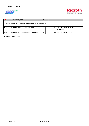



| <b>UNZ</b> | Interchange trailer                                           | M |    |                                |
|------------|---------------------------------------------------------------|---|----|--------------------------------|
|            | Function: To end and check the completeness of an interchange |   |    |                                |
| 0036       | INTERCHANGE CONTROL COUNT                                     | М | n6 | The count of the number of     |
|            |                                                               |   |    | messages                       |
|            |                                                               |   |    |                                |
| 0020       | INTERCHANGE CONTROL REFERENCE                                 | М |    | an14 lidentical to 0020 in UNB |
|            |                                                               |   |    |                                |

**Example:** UNZ+2+1024'